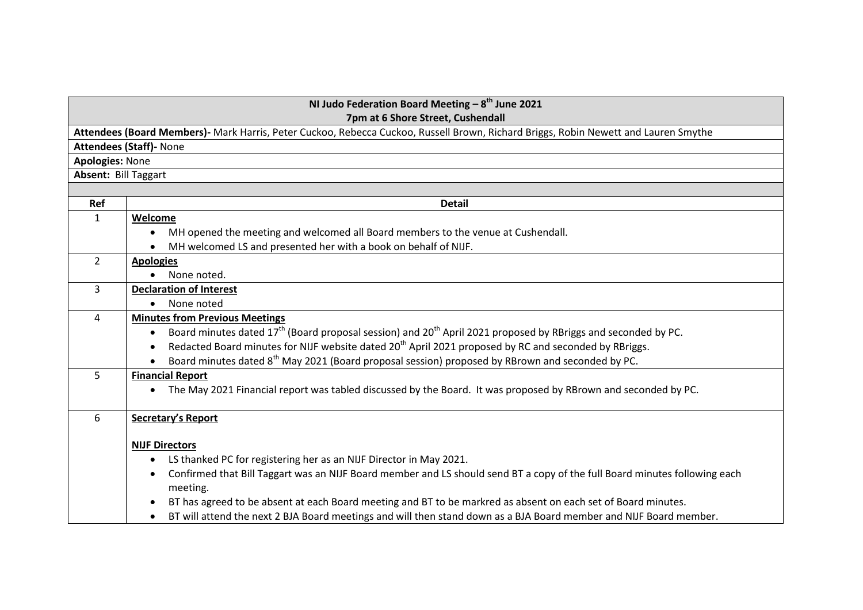## **NI Judo Federation Board Meeting – 8 th June 2021 7pm at 6 Shore Street, Cushendall**

**Attendees (Board Members)-** Mark Harris, Peter Cuckoo, Rebecca Cuckoo, Russell Brown, Richard Briggs, Robin Newett and Lauren Smythe

**Attendees (Staff)-** None

**Apologies:** None

**Absent:** Bill Taggart

| Ref            | <b>Detail</b>                                                                                                                         |
|----------------|---------------------------------------------------------------------------------------------------------------------------------------|
|                | Welcome                                                                                                                               |
|                | MH opened the meeting and welcomed all Board members to the venue at Cushendall.                                                      |
|                | MH welcomed LS and presented her with a book on behalf of NIJF.                                                                       |
| $\overline{2}$ | <b>Apologies</b>                                                                                                                      |
|                | None noted.                                                                                                                           |
| 3              | <b>Declaration of Interest</b>                                                                                                        |
|                | None noted                                                                                                                            |
| 4              | <b>Minutes from Previous Meetings</b>                                                                                                 |
|                | Board minutes dated 17 <sup>th</sup> (Board proposal session) and 20 <sup>th</sup> April 2021 proposed by RBriggs and seconded by PC. |
|                | Redacted Board minutes for NIJF website dated 20 <sup>th</sup> April 2021 proposed by RC and seconded by RBriggs.                     |
|                | Board minutes dated 8 <sup>th</sup> May 2021 (Board proposal session) proposed by RBrown and seconded by PC.                          |
| 5              | <b>Financial Report</b>                                                                                                               |
|                | The May 2021 Financial report was tabled discussed by the Board. It was proposed by RBrown and seconded by PC.                        |
|                |                                                                                                                                       |
| 6              | <b>Secretary's Report</b>                                                                                                             |
|                | <b>NIJF Directors</b>                                                                                                                 |
|                | LS thanked PC for registering her as an NIJF Director in May 2021.                                                                    |
|                | Confirmed that Bill Taggart was an NIJF Board member and LS should send BT a copy of the full Board minutes following each            |
|                | meeting.                                                                                                                              |
|                | BT has agreed to be absent at each Board meeting and BT to be markred as absent on each set of Board minutes.                         |
|                | BT will attend the next 2 BJA Board meetings and will then stand down as a BJA Board member and NIJF Board member.                    |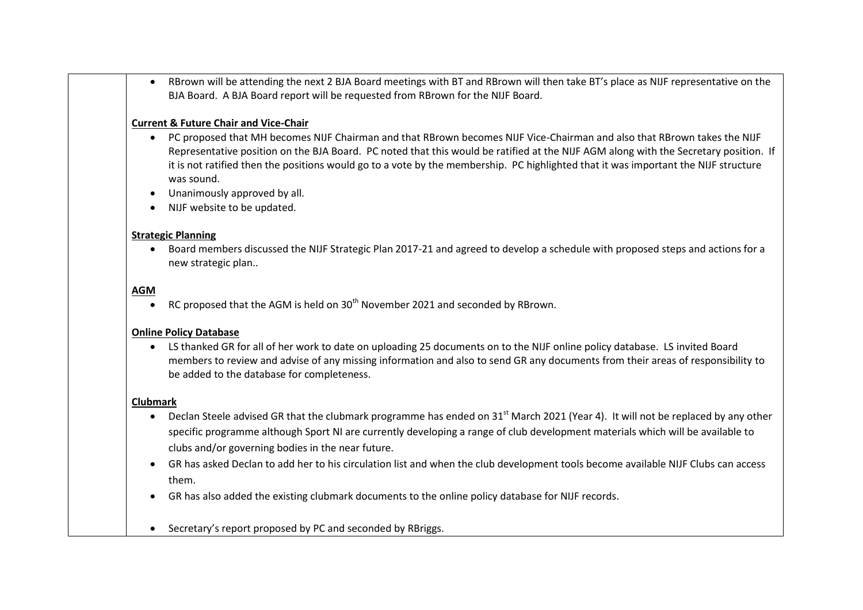RBrown will be attending the next 2 BJA Board meetings with BT and RBrown will then take BT's place as NIJF representative on the BJA Board. A BJA Board report will be requested from RBrown for the NIJF Board.

## **Current & Future Chair and Vice-Chair**

- PC proposed that MH becomes NIJF Chairman and that RBrown becomes NIJF Vice-Chairman and also that RBrown takes the NIJF Representative position on the BJA Board. PC noted that this would be ratified at the NIJF AGM along with the Secretary position. If it is not ratified then the positions would go to a vote by the membership. PC highlighted that it was important the NIJF structure was sound.
- Unanimously approved by all.
- NIJF website to be updated.

### **Strategic Planning**

 Board members discussed the NIJF Strategic Plan 2017-21 and agreed to develop a schedule with proposed steps and actions for a new strategic plan..

# **AGM**

RC proposed that the AGM is held on  $30<sup>th</sup>$  November 2021 and seconded by RBrown.

## **Online Policy Database**

 LS thanked GR for all of her work to date on uploading 25 documents on to the NIJF online policy database. LS invited Board members to review and advise of any missing information and also to send GR any documents from their areas of responsibility to be added to the database for completeness.

#### **Clubmark**

- Declan Steele advised GR that the clubmark programme has ended on 31<sup>st</sup> March 2021 (Year 4). It will not be replaced by any other specific programme although Sport NI are currently developing a range of club development materials which will be available to clubs and/or governing bodies in the near future.
- GR has asked Declan to add her to his circulation list and when the club development tools become available NIJF Clubs can access them.
- GR has also added the existing clubmark documents to the online policy database for NIJF records.
- Secretary's report proposed by PC and seconded by RBriggs.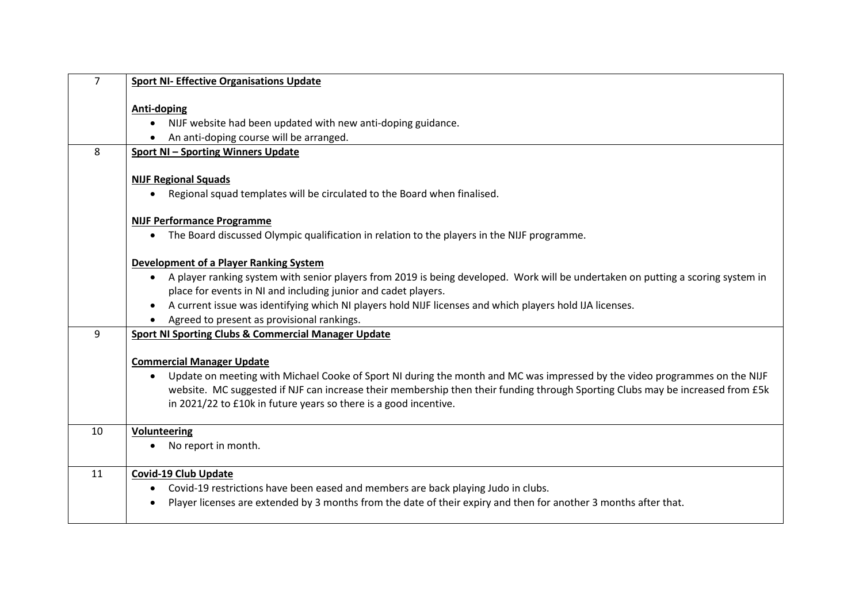| <b>Sport NI- Effective Organisations Update</b>                                                                                                                                                                                                                           |
|---------------------------------------------------------------------------------------------------------------------------------------------------------------------------------------------------------------------------------------------------------------------------|
| <b>Anti-doping</b>                                                                                                                                                                                                                                                        |
| NIJF website had been updated with new anti-doping guidance.                                                                                                                                                                                                              |
| An anti-doping course will be arranged.                                                                                                                                                                                                                                   |
| <b>Sport NI-Sporting Winners Update</b>                                                                                                                                                                                                                                   |
| <b>NIJF Regional Squads</b>                                                                                                                                                                                                                                               |
| Regional squad templates will be circulated to the Board when finalised.                                                                                                                                                                                                  |
| <b>NIJF Performance Programme</b>                                                                                                                                                                                                                                         |
| The Board discussed Olympic qualification in relation to the players in the NIJF programme.                                                                                                                                                                               |
| <b>Development of a Player Ranking System</b>                                                                                                                                                                                                                             |
| • A player ranking system with senior players from 2019 is being developed. Work will be undertaken on putting a scoring system in                                                                                                                                        |
| place for events in NI and including junior and cadet players.                                                                                                                                                                                                            |
| A current issue was identifying which NI players hold NIJF licenses and which players hold IJA licenses.<br>$\bullet$                                                                                                                                                     |
| Agreed to present as provisional rankings.                                                                                                                                                                                                                                |
| <b>Sport NI Sporting Clubs &amp; Commercial Manager Update</b>                                                                                                                                                                                                            |
| <b>Commercial Manager Update</b>                                                                                                                                                                                                                                          |
| Update on meeting with Michael Cooke of Sport NI during the month and MC was impressed by the video programmes on the NIJF<br>$\bullet$<br>website. MC suggested if NJF can increase their membership then their funding through Sporting Clubs may be increased from £5k |
| in 2021/22 to £10k in future years so there is a good incentive.                                                                                                                                                                                                          |
|                                                                                                                                                                                                                                                                           |
| <b>Volunteering</b><br>No report in month.                                                                                                                                                                                                                                |
|                                                                                                                                                                                                                                                                           |
| <b>Covid-19 Club Update</b>                                                                                                                                                                                                                                               |
| Covid-19 restrictions have been eased and members are back playing Judo in clubs.                                                                                                                                                                                         |
| Player licenses are extended by 3 months from the date of their expiry and then for another 3 months after that.                                                                                                                                                          |
|                                                                                                                                                                                                                                                                           |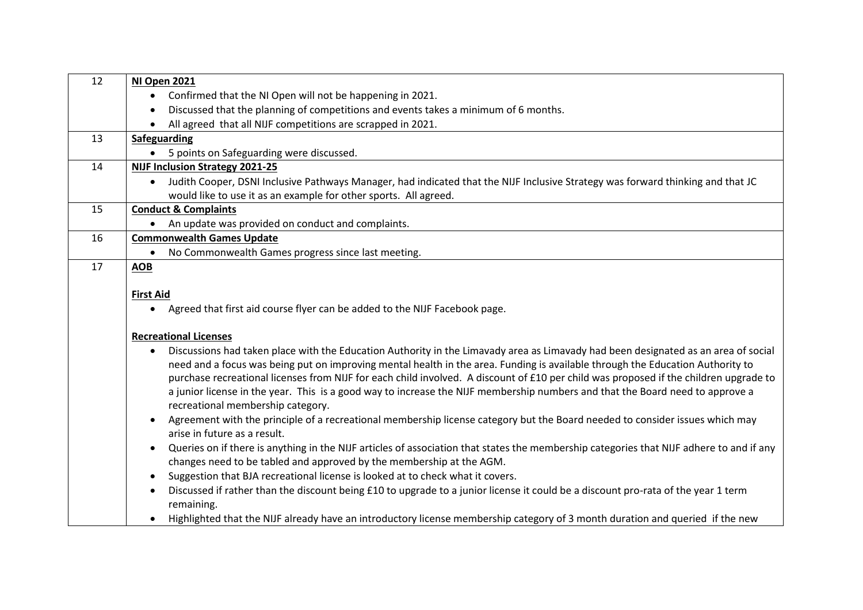| 12 | NI Open 2021                                                                                                                                                                                                                                                                                                                                                                                                                                                                                                                                                                                     |
|----|--------------------------------------------------------------------------------------------------------------------------------------------------------------------------------------------------------------------------------------------------------------------------------------------------------------------------------------------------------------------------------------------------------------------------------------------------------------------------------------------------------------------------------------------------------------------------------------------------|
|    | Confirmed that the NI Open will not be happening in 2021.                                                                                                                                                                                                                                                                                                                                                                                                                                                                                                                                        |
|    | Discussed that the planning of competitions and events takes a minimum of 6 months.<br>$\bullet$                                                                                                                                                                                                                                                                                                                                                                                                                                                                                                 |
|    | • All agreed that all NIJF competitions are scrapped in 2021.                                                                                                                                                                                                                                                                                                                                                                                                                                                                                                                                    |
| 13 | Safeguarding                                                                                                                                                                                                                                                                                                                                                                                                                                                                                                                                                                                     |
|    | 5 points on Safeguarding were discussed.                                                                                                                                                                                                                                                                                                                                                                                                                                                                                                                                                         |
| 14 | <b>NIJF Inclusion Strategy 2021-25</b>                                                                                                                                                                                                                                                                                                                                                                                                                                                                                                                                                           |
|    | Judith Cooper, DSNI Inclusive Pathways Manager, had indicated that the NIJF Inclusive Strategy was forward thinking and that JC<br>$\bullet$                                                                                                                                                                                                                                                                                                                                                                                                                                                     |
|    | would like to use it as an example for other sports. All agreed.                                                                                                                                                                                                                                                                                                                                                                                                                                                                                                                                 |
| 15 | <b>Conduct &amp; Complaints</b>                                                                                                                                                                                                                                                                                                                                                                                                                                                                                                                                                                  |
|    | An update was provided on conduct and complaints.                                                                                                                                                                                                                                                                                                                                                                                                                                                                                                                                                |
| 16 | <b>Commonwealth Games Update</b>                                                                                                                                                                                                                                                                                                                                                                                                                                                                                                                                                                 |
|    | No Commonwealth Games progress since last meeting.                                                                                                                                                                                                                                                                                                                                                                                                                                                                                                                                               |
| 17 | <b>AOB</b>                                                                                                                                                                                                                                                                                                                                                                                                                                                                                                                                                                                       |
|    |                                                                                                                                                                                                                                                                                                                                                                                                                                                                                                                                                                                                  |
|    | <b>First Aid</b>                                                                                                                                                                                                                                                                                                                                                                                                                                                                                                                                                                                 |
|    | Agreed that first aid course flyer can be added to the NIJF Facebook page.<br>$\bullet$                                                                                                                                                                                                                                                                                                                                                                                                                                                                                                          |
|    | <b>Recreational Licenses</b>                                                                                                                                                                                                                                                                                                                                                                                                                                                                                                                                                                     |
|    | Discussions had taken place with the Education Authority in the Limavady area as Limavady had been designated as an area of social<br>$\bullet$<br>need and a focus was being put on improving mental health in the area. Funding is available through the Education Authority to<br>purchase recreational licenses from NIJF for each child involved. A discount of £10 per child was proposed if the children upgrade to<br>a junior license in the year. This is a good way to increase the NIJF membership numbers and that the Board need to approve a<br>recreational membership category. |
|    | Agreement with the principle of a recreational membership license category but the Board needed to consider issues which may<br>arise in future as a result.                                                                                                                                                                                                                                                                                                                                                                                                                                     |
|    | Queries on if there is anything in the NIJF articles of association that states the membership categories that NIJF adhere to and if any<br>$\bullet$<br>changes need to be tabled and approved by the membership at the AGM.                                                                                                                                                                                                                                                                                                                                                                    |
|    | Suggestion that BJA recreational license is looked at to check what it covers.<br>$\bullet$                                                                                                                                                                                                                                                                                                                                                                                                                                                                                                      |
|    | Discussed if rather than the discount being £10 to upgrade to a junior license it could be a discount pro-rata of the year 1 term<br>$\bullet$<br>remaining.                                                                                                                                                                                                                                                                                                                                                                                                                                     |
|    | Highlighted that the NIJF already have an introductory license membership category of 3 month duration and queried if the new                                                                                                                                                                                                                                                                                                                                                                                                                                                                    |